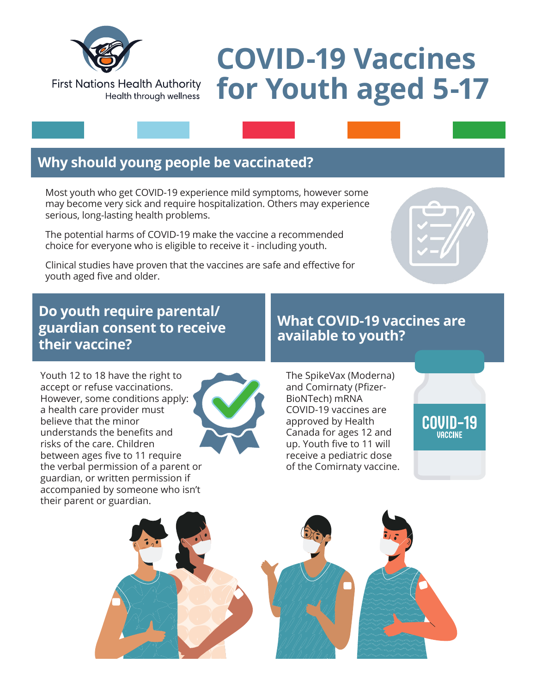

#### **First Nations Health Authority** Health through wellness

# **COVID-19 Vaccines for Youth aged 5-17**

## **Why should young people be vaccinated?**

Most youth who get COVID-19 experience mild symptoms, however some may become very sick and require hospitalization. Others may experience serious, long-lasting health problems.

The potential harms of COVID-19 make the vaccine a recommended choice for everyone who is eligible to receive it - including youth.

Clinical studies have proven that the vaccines are safe and effective for youth aged five and older.

#### **Do youth require parental/ guardian consent to receive their vaccine?**

### **What COVID-19 vaccines are available to youth?**

Youth 12 to 18 have the right to accept or refuse vaccinations. However, some conditions apply: a health care provider must believe that the minor understands the benefits and risks of the care. Children between ages five to 11 require the verbal permission of a parent or guardian, or written permission if accompanied by someone who isn't their parent or guardian.



The SpikeVax (Moderna) and Comirnaty (Pfizer-BioNTech) mRNA COVID-19 vaccines are approved by Health Canada for ages 12 and up. Youth five to 11 will receive a pediatric dose of the Comirnaty vaccine.

COVID-19 **VACCINE**